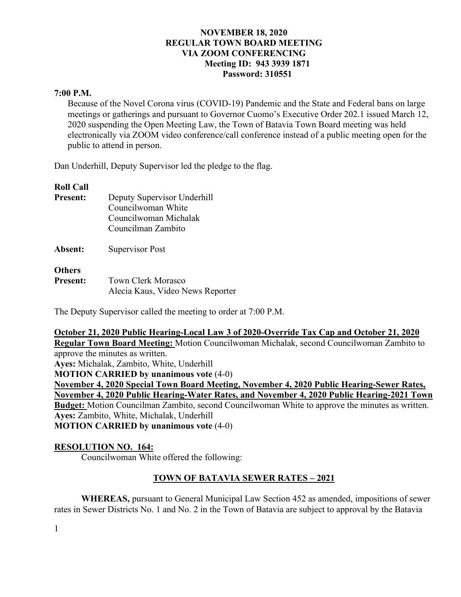### **7:00 P.M.**

Because of the Novel Corona virus (COVID-19) Pandemic and the State and Federal bans on large meetings or gatherings and pursuant to Governor Cuomo's Executive Order 202.1 issued March 12, 2020 suspending the Open Meeting Law, the Town of Batavia Town Board meeting was held electronically via ZOOM video conference/call conference instead of a public meeting open for the public to attend in person.

Dan Underhill, Deputy Supervisor led the pledge to the flag.

### **Roll Call**

| <b>Present:</b>                  | Deputy Supervisor Underhill<br>Councilwoman White<br>Councilwoman Michalak<br>Councilman Zambito |
|----------------------------------|--------------------------------------------------------------------------------------------------|
| Absent:                          | Supervisor Post                                                                                  |
| <b>Others</b><br><b>Present:</b> | Town Clerk Morasco                                                                               |

The Deputy Supervisor called the meeting to order at 7:00 P.M.

Alecia Kaus, Video News Reporter

**October 21, 2020 Public Hearing-Local Law 3 of 2020-Override Tax Cap and October 21, 2020 Regular Town Board Meeting:** Motion Councilwoman Michalak, second Councilwoman Zambito to approve the minutes as written. **Ayes:** Michalak, Zambito, White, Underhill **MOTION CARRIED by unanimous vote** (4-0) **November 4, 2020 Special Town Board Meeting, November 4, 2020 Public Hearing-Sewer Rates, November 4, 2020 Public Hearing-Water Rates, and November 4, 2020 Public Hearing-2021 Town Budget:** Motion Councilman Zambito, second Councilwoman White to approve the minutes as written. **Ayes:** Zambito, White, Michalak, Underhill **MOTION CARRIED by unanimous vote** (4-0)

## **RESOLUTION NO. 164:**

Councilwoman White offered the following:

## **TOWN OF BATAVIA SEWER RATES – 2021**

**WHEREAS,** pursuant to General Municipal Law Section 452 as amended, impositions of sewer rates in Sewer Districts No. 1 and No. 2 in the Town of Batavia are subject to approval by the Batavia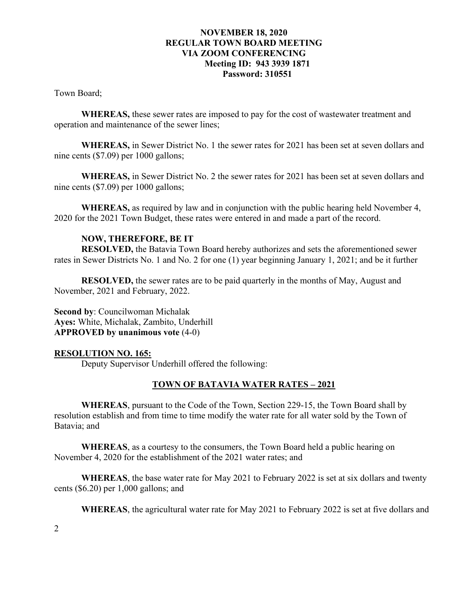Town Board;

**WHEREAS,** these sewer rates are imposed to pay for the cost of wastewater treatment and operation and maintenance of the sewer lines;

**WHEREAS,** in Sewer District No. 1 the sewer rates for 2021 has been set at seven dollars and nine cents (\$7.09) per 1000 gallons;

**WHEREAS,** in Sewer District No. 2 the sewer rates for 2021 has been set at seven dollars and nine cents (\$7.09) per 1000 gallons;

**WHEREAS,** as required by law and in conjunction with the public hearing held November 4, 2020 for the 2021 Town Budget, these rates were entered in and made a part of the record.

# **NOW, THEREFORE, BE IT**

**RESOLVED,** the Batavia Town Board hereby authorizes and sets the aforementioned sewer rates in Sewer Districts No. 1 and No. 2 for one (1) year beginning January 1, 2021; and be it further

**RESOLVED,** the sewer rates are to be paid quarterly in the months of May, August and November, 2021 and February, 2022.

**Second by**: Councilwoman Michalak **Ayes:** White, Michalak, Zambito, Underhill **APPROVED by unanimous vote** (4-0)

## **RESOLUTION NO. 165:**

Deputy Supervisor Underhill offered the following:

#### **TOWN OF BATAVIA WATER RATES – 2021**

**WHEREAS**, pursuant to the Code of the Town, Section 229-15, the Town Board shall by resolution establish and from time to time modify the water rate for all water sold by the Town of Batavia; and

**WHEREAS**, as a courtesy to the consumers, the Town Board held a public hearing on November 4, 2020 for the establishment of the 2021 water rates; and

**WHEREAS**, the base water rate for May 2021 to February 2022 is set at six dollars and twenty cents (\$6.20) per 1,000 gallons; and

**WHEREAS**, the agricultural water rate for May 2021 to February 2022 is set at five dollars and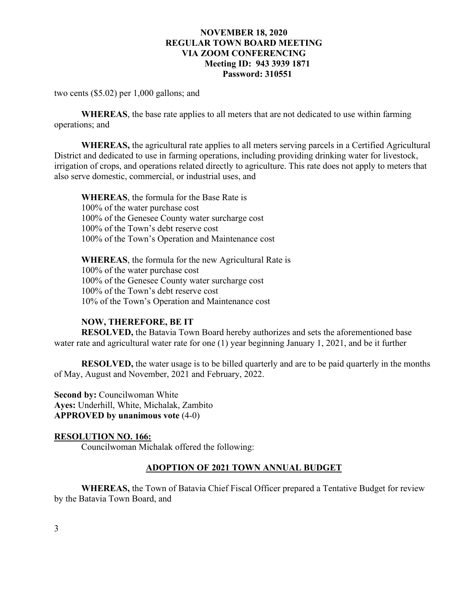two cents (\$5.02) per 1,000 gallons; and

**WHEREAS**, the base rate applies to all meters that are not dedicated to use within farming operations; and

**WHEREAS,** the agricultural rate applies to all meters serving parcels in a Certified Agricultural District and dedicated to use in farming operations, including providing drinking water for livestock, irrigation of crops, and operations related directly to agriculture. This rate does not apply to meters that also serve domestic, commercial, or industrial uses, and

**WHEREAS**, the formula for the Base Rate is 100% of the water purchase cost 100% of the Genesee County water surcharge cost 100% of the Town's debt reserve cost 100% of the Town's Operation and Maintenance cost

**WHEREAS**, the formula for the new Agricultural Rate is 100% of the water purchase cost 100% of the Genesee County water surcharge cost 100% of the Town's debt reserve cost 10% of the Town's Operation and Maintenance cost

#### **NOW, THEREFORE, BE IT**

**RESOLVED,** the Batavia Town Board hereby authorizes and sets the aforementioned base water rate and agricultural water rate for one (1) year beginning January 1, 2021, and be it further

**RESOLVED,** the water usage is to be billed quarterly and are to be paid quarterly in the months of May, August and November, 2021 and February, 2022.

**Second by: Councilwoman White Ayes:** Underhill, White, Michalak, Zambito **APPROVED by unanimous vote** (4-0)

#### **RESOLUTION NO. 166:**

Councilwoman Michalak offered the following:

#### **ADOPTION OF 2021 TOWN ANNUAL BUDGET**

**WHEREAS,** the Town of Batavia Chief Fiscal Officer prepared a Tentative Budget for review by the Batavia Town Board, and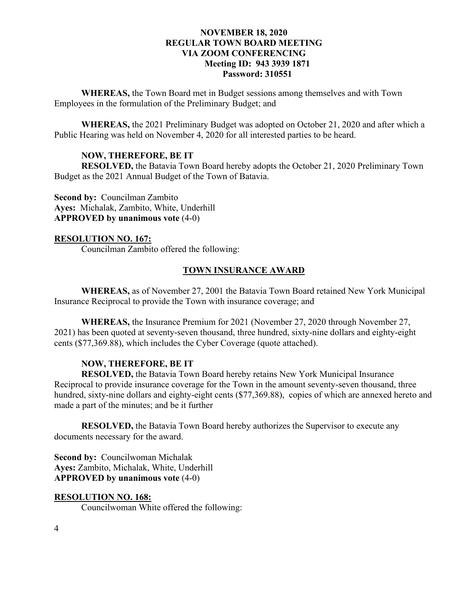**WHEREAS,** the Town Board met in Budget sessions among themselves and with Town Employees in the formulation of the Preliminary Budget; and

**WHEREAS,** the 2021 Preliminary Budget was adopted on October 21, 2020 and after which a Public Hearing was held on November 4, 2020 for all interested parties to be heard.

## **NOW, THEREFORE, BE IT**

**RESOLVED,** the Batavia Town Board hereby adopts the October 21, 2020 Preliminary Town Budget as the 2021 Annual Budget of the Town of Batavia.

**Second by:** Councilman Zambito **Ayes:** Michalak, Zambito, White, Underhill **APPROVED by unanimous vote** (4-0)

#### **RESOLUTION NO. 167:**

Councilman Zambito offered the following:

## **TOWN INSURANCE AWARD**

**WHEREAS,** as of November 27, 2001 the Batavia Town Board retained New York Municipal Insurance Reciprocal to provide the Town with insurance coverage; and

**WHEREAS,** the Insurance Premium for 2021 (November 27, 2020 through November 27, 2021) has been quoted at seventy-seven thousand, three hundred, sixty-nine dollars and eighty-eight cents (\$77,369.88), which includes the Cyber Coverage (quote attached).

#### **NOW, THEREFORE, BE IT**

**RESOLVED,** the Batavia Town Board hereby retains New York Municipal Insurance Reciprocal to provide insurance coverage for the Town in the amount seventy-seven thousand, three hundred, sixty-nine dollars and eighty-eight cents (\$77,369.88), copies of which are annexed hereto and made a part of the minutes; and be it further

**RESOLVED,** the Batavia Town Board hereby authorizes the Supervisor to execute any documents necessary for the award.

**Second by:** Councilwoman Michalak **Ayes:** Zambito, Michalak, White, Underhill **APPROVED by unanimous vote** (4-0)

#### **RESOLUTION NO. 168:**  Councilwoman White offered the following: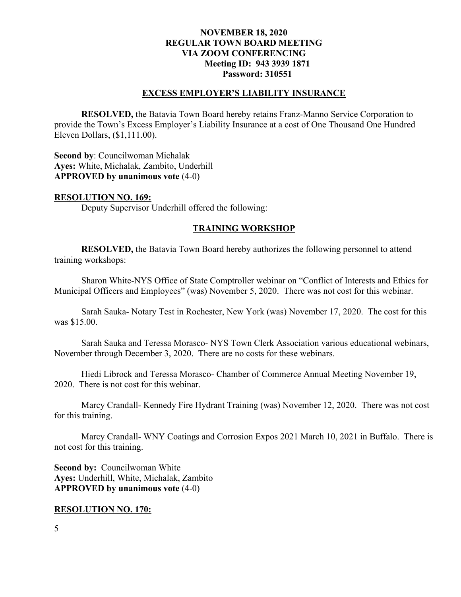#### **EXCESS EMPLOYER'S LIABILITY INSURANCE**

**RESOLVED,** the Batavia Town Board hereby retains Franz-Manno Service Corporation to provide the Town's Excess Employer's Liability Insurance at a cost of One Thousand One Hundred Eleven Dollars, (\$1,111.00).

**Second by**: Councilwoman Michalak **Ayes:** White, Michalak, Zambito, Underhill **APPROVED by unanimous vote** (4-0)

#### **RESOLUTION NO. 169:**

Deputy Supervisor Underhill offered the following:

#### **TRAINING WORKSHOP**

**RESOLVED,** the Batavia Town Board hereby authorizes the following personnel to attend training workshops:

Sharon White-NYS Office of State Comptroller webinar on "Conflict of Interests and Ethics for Municipal Officers and Employees" (was) November 5, 2020. There was not cost for this webinar.

Sarah Sauka- Notary Test in Rochester, New York (was) November 17, 2020. The cost for this was \$15.00.

Sarah Sauka and Teressa Morasco- NYS Town Clerk Association various educational webinars, November through December 3, 2020. There are no costs for these webinars.

Hiedi Librock and Teressa Morasco- Chamber of Commerce Annual Meeting November 19, 2020. There is not cost for this webinar.

Marcy Crandall- Kennedy Fire Hydrant Training (was) November 12, 2020. There was not cost for this training.

Marcy Crandall- WNY Coatings and Corrosion Expos 2021 March 10, 2021 in Buffalo. There is not cost for this training.

**Second by: Councilwoman White Ayes:** Underhill, White, Michalak, Zambito **APPROVED by unanimous vote** (4-0)

#### **RESOLUTION NO. 170:**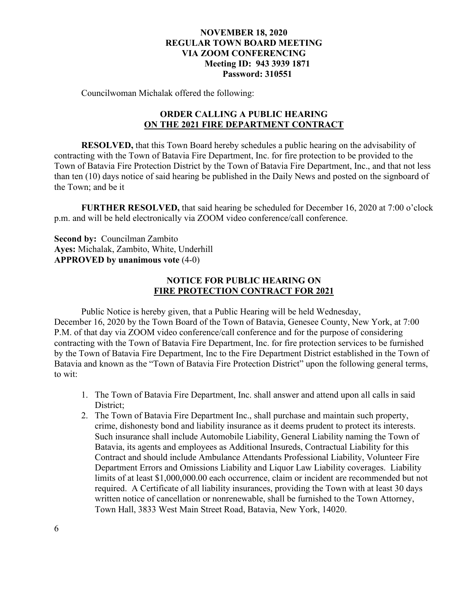Councilwoman Michalak offered the following:

# **ORDER CALLING A PUBLIC HEARING ON THE 2021 FIRE DEPARTMENT CONTRACT**

**RESOLVED,** that this Town Board hereby schedules a public hearing on the advisability of contracting with the Town of Batavia Fire Department, Inc. for fire protection to be provided to the Town of Batavia Fire Protection District by the Town of Batavia Fire Department, Inc., and that not less than ten (10) days notice of said hearing be published in the Daily News and posted on the signboard of the Town; and be it

**FURTHER RESOLVED,** that said hearing be scheduled for December 16, 2020 at 7:00 o'clock p.m. and will be held electronically via ZOOM video conference/call conference.

**Second by:** Councilman Zambito **Ayes:** Michalak, Zambito, White, Underhill **APPROVED by unanimous vote** (4-0)

# **NOTICE FOR PUBLIC HEARING ON FIRE PROTECTION CONTRACT FOR 2021**

 Public Notice is hereby given, that a Public Hearing will be held Wednesday, December 16, 2020 by the Town Board of the Town of Batavia, Genesee County, New York, at 7:00 P.M. of that day via ZOOM video conference/call conference and for the purpose of considering contracting with the Town of Batavia Fire Department, Inc. for fire protection services to be furnished by the Town of Batavia Fire Department, Inc to the Fire Department District established in the Town of Batavia and known as the "Town of Batavia Fire Protection District" upon the following general terms, to wit:

- 1. The Town of Batavia Fire Department, Inc. shall answer and attend upon all calls in said District;
- 2. The Town of Batavia Fire Department Inc., shall purchase and maintain such property, crime, dishonesty bond and liability insurance as it deems prudent to protect its interests. Such insurance shall include Automobile Liability, General Liability naming the Town of Batavia, its agents and employees as Additional Insureds, Contractual Liability for this Contract and should include Ambulance Attendants Professional Liability, Volunteer Fire Department Errors and Omissions Liability and Liquor Law Liability coverages. Liability limits of at least \$1,000,000.00 each occurrence, claim or incident are recommended but not required. A Certificate of all liability insurances, providing the Town with at least 30 days written notice of cancellation or nonrenewable, shall be furnished to the Town Attorney, Town Hall, 3833 West Main Street Road, Batavia, New York, 14020.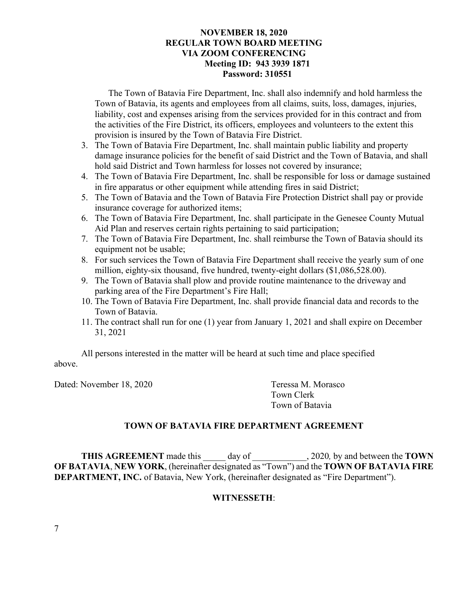The Town of Batavia Fire Department, Inc. shall also indemnify and hold harmless the Town of Batavia, its agents and employees from all claims, suits, loss, damages, injuries, liability, cost and expenses arising from the services provided for in this contract and from the activities of the Fire District, its officers, employees and volunteers to the extent this provision is insured by the Town of Batavia Fire District.

- 3. The Town of Batavia Fire Department, Inc. shall maintain public liability and property damage insurance policies for the benefit of said District and the Town of Batavia, and shall hold said District and Town harmless for losses not covered by insurance;
- 4. The Town of Batavia Fire Department, Inc. shall be responsible for loss or damage sustained in fire apparatus or other equipment while attending fires in said District;
- 5. The Town of Batavia and the Town of Batavia Fire Protection District shall pay or provide insurance coverage for authorized items;
- 6. The Town of Batavia Fire Department, Inc. shall participate in the Genesee County Mutual Aid Plan and reserves certain rights pertaining to said participation;
- 7. The Town of Batavia Fire Department, Inc. shall reimburse the Town of Batavia should its equipment not be usable;
- 8. For such services the Town of Batavia Fire Department shall receive the yearly sum of one million, eighty-six thousand, five hundred, twenty-eight dollars (\$1,086,528.00).
- 9. The Town of Batavia shall plow and provide routine maintenance to the driveway and parking area of the Fire Department's Fire Hall;
- 10. The Town of Batavia Fire Department, Inc. shall provide financial data and records to the Town of Batavia.
- 11. The contract shall run for one (1) year from January 1, 2021 and shall expire on December 31, 2021

All persons interested in the matter will be heard at such time and place specified above.

Dated: November 18, 2020 Teressa M. Morasco

 Town Clerk Town of Batavia

# **TOWN OF BATAVIA FIRE DEPARTMENT AGREEMENT**

**THIS AGREEMENT** made this day of , 2020*,* by and between the **TOWN OF BATAVIA**, **NEW YORK**, (hereinafter designated as "Town") and the **TOWN OF BATAVIA FIRE DEPARTMENT, INC.** of Batavia, New York, (hereinafter designated as "Fire Department").

# **WITNESSETH**: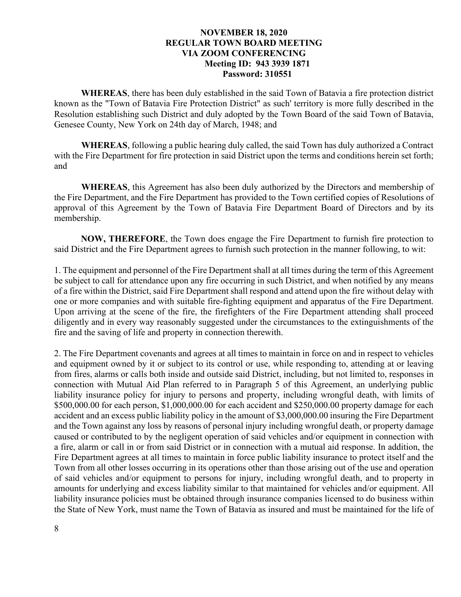**WHEREAS**, there has been duly established in the said Town of Batavia a fire protection district known as the "Town of Batavia Fire Protection District" as such' territory is more fully described in the Resolution establishing such District and duly adopted by the Town Board of the said Town of Batavia, Genesee County, New York on 24th day of March, 1948; and

**WHEREAS**, following a public hearing duly called, the said Town has duly authorized a Contract with the Fire Department for fire protection in said District upon the terms and conditions herein set forth; and

**WHEREAS**, this Agreement has also been duly authorized by the Directors and membership of the Fire Department, and the Fire Department has provided to the Town certified copies of Resolutions of approval of this Agreement by the Town of Batavia Fire Department Board of Directors and by its membership.

**NOW, THEREFORE**, the Town does engage the Fire Department to furnish fire protection to said District and the Fire Department agrees to furnish such protection in the manner following, to wit:

1. The equipment and personnel of the Fire Department shall at all times during the term of this Agreement be subject to call for attendance upon any fire occurring in such District, and when notified by any means of a fire within the District, said Fire Department shall respond and attend upon the fire without delay with one or more companies and with suitable fire-fighting equipment and apparatus of the Fire Department. Upon arriving at the scene of the fire, the firefighters of the Fire Department attending shall proceed diligently and in every way reasonably suggested under the circumstances to the extinguishments of the fire and the saving of life and property in connection therewith.

2. The Fire Department covenants and agrees at all times to maintain in force on and in respect to vehicles and equipment owned by it or subject to its control or use, while responding to, attending at or leaving from fires, alarms or calls both inside and outside said District, including, but not limited to, responses in connection with Mutual Aid Plan referred to in Paragraph 5 of this Agreement, an underlying public liability insurance policy for injury to persons and property, including wrongful death, with limits of \$500,000.00 for each person, \$1,000,000.00 for each accident and \$250,000.00 property damage for each accident and an excess public liability policy in the amount of \$3,000,000.00 insuring the Fire Department and the Town against any loss by reasons of personal injury including wrongful death, or property damage caused or contributed to by the negligent operation of said vehicles and/or equipment in connection with a fire, alarm or call in or from said District or in connection with a mutual aid response. In addition, the Fire Department agrees at all times to maintain in force public liability insurance to protect itself and the Town from all other losses occurring in its operations other than those arising out of the use and operation of said vehicles and/or equipment to persons for injury, including wrongful death, and to property in amounts for underlying and excess liability similar to that maintained for vehicles and/or equipment. All liability insurance policies must be obtained through insurance companies licensed to do business within the State of New York, must name the Town of Batavia as insured and must be maintained for the life of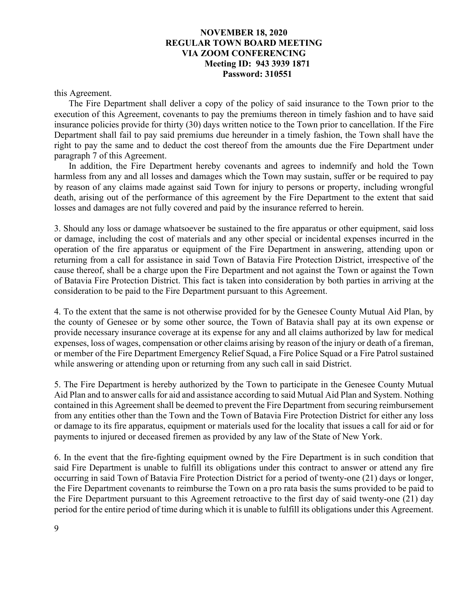this Agreement.

The Fire Department shall deliver a copy of the policy of said insurance to the Town prior to the execution of this Agreement, covenants to pay the premiums thereon in timely fashion and to have said insurance policies provide for thirty (30) days written notice to the Town prior to cancellation. If the Fire Department shall fail to pay said premiums due hereunder in a timely fashion, the Town shall have the right to pay the same and to deduct the cost thereof from the amounts due the Fire Department under paragraph 7 of this Agreement.

In addition, the Fire Department hereby covenants and agrees to indemnify and hold the Town harmless from any and all losses and damages which the Town may sustain, suffer or be required to pay by reason of any claims made against said Town for injury to persons or property, including wrongful death, arising out of the performance of this agreement by the Fire Department to the extent that said losses and damages are not fully covered and paid by the insurance referred to herein.

3. Should any loss or damage whatsoever be sustained to the fire apparatus or other equipment, said loss or damage, including the cost of materials and any other special or incidental expenses incurred in the operation of the fire apparatus or equipment of the Fire Department in answering, attending upon or returning from a call for assistance in said Town of Batavia Fire Protection District, irrespective of the cause thereof, shall be a charge upon the Fire Department and not against the Town or against the Town of Batavia Fire Protection District. This fact is taken into consideration by both parties in arriving at the consideration to be paid to the Fire Department pursuant to this Agreement.

4. To the extent that the same is not otherwise provided for by the Genesee County Mutual Aid Plan, by the county of Genesee or by some other source, the Town of Batavia shall pay at its own expense or provide necessary insurance coverage at its expense for any and all claims authorized by law for medical expenses, loss of wages, compensation or other claims arising by reason of the injury or death of a fireman, or member of the Fire Department Emergency Relief Squad, a Fire Police Squad or a Fire Patrol sustained while answering or attending upon or returning from any such call in said District.

5. The Fire Department is hereby authorized by the Town to participate in the Genesee County Mutual Aid Plan and to answer calls for aid and assistance according to said Mutual Aid Plan and System. Nothing contained in this Agreement shall be deemed to prevent the Fire Department from securing reimbursement from any entities other than the Town and the Town of Batavia Fire Protection District for either any loss or damage to its fire apparatus, equipment or materials used for the locality that issues a call for aid or for payments to injured or deceased firemen as provided by any law of the State of New York.

6. In the event that the fire-fighting equipment owned by the Fire Department is in such condition that said Fire Department is unable to fulfill its obligations under this contract to answer or attend any fire occurring in said Town of Batavia Fire Protection District for a period of twenty-one (21) days or longer, the Fire Department covenants to reimburse the Town on a pro rata basis the sums provided to be paid to the Fire Department pursuant to this Agreement retroactive to the first day of said twenty-one (21) day period for the entire period of time during which it is unable to fulfill its obligations under this Agreement.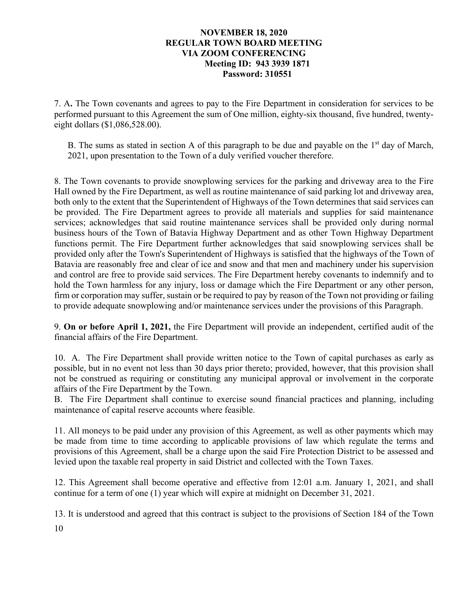7. A**.** The Town covenants and agrees to pay to the Fire Department in consideration for services to be performed pursuant to this Agreement the sum of One million, eighty-six thousand, five hundred, twentyeight dollars (\$1,086,528.00).

B. The sums as stated in section A of this paragraph to be due and payable on the  $1<sup>st</sup>$  day of March, 2021, upon presentation to the Town of a duly verified voucher therefore.

8. The Town covenants to provide snowplowing services for the parking and driveway area to the Fire Hall owned by the Fire Department, as well as routine maintenance of said parking lot and driveway area, both only to the extent that the Superintendent of Highways of the Town determines that said services can be provided. The Fire Department agrees to provide all materials and supplies for said maintenance services; acknowledges that said routine maintenance services shall be provided only during normal business hours of the Town of Batavia Highway Department and as other Town Highway Department functions permit. The Fire Department further acknowledges that said snowplowing services shall be provided only after the Town's Superintendent of Highways is satisfied that the highways of the Town of Batavia are reasonably free and clear of ice and snow and that men and machinery under his supervision and control are free to provide said services. The Fire Department hereby covenants to indemnify and to hold the Town harmless for any injury, loss or damage which the Fire Department or any other person, firm or corporation may suffer, sustain or be required to pay by reason of the Town not providing or failing to provide adequate snowplowing and/or maintenance services under the provisions of this Paragraph.

9. **On or before April 1, 2021,** the Fire Department will provide an independent, certified audit of the financial affairs of the Fire Department.

10. A. The Fire Department shall provide written notice to the Town of capital purchases as early as possible, but in no event not less than 30 days prior thereto; provided, however, that this provision shall not be construed as requiring or constituting any municipal approval or involvement in the corporate affairs of the Fire Department by the Town.

B. The Fire Department shall continue to exercise sound financial practices and planning, including maintenance of capital reserve accounts where feasible.

11. All moneys to be paid under any provision of this Agreement, as well as other payments which may be made from time to time according to applicable provisions of law which regulate the terms and provisions of this Agreement, shall be a charge upon the said Fire Protection District to be assessed and levied upon the taxable real property in said District and collected with the Town Taxes.

12. This Agreement shall become operative and effective from 12:01 a.m. January 1, 2021, and shall continue for a term of one (1) year which will expire at midnight on December 31, 2021.

13. It is understood and agreed that this contract is subject to the provisions of Section 184 of the Town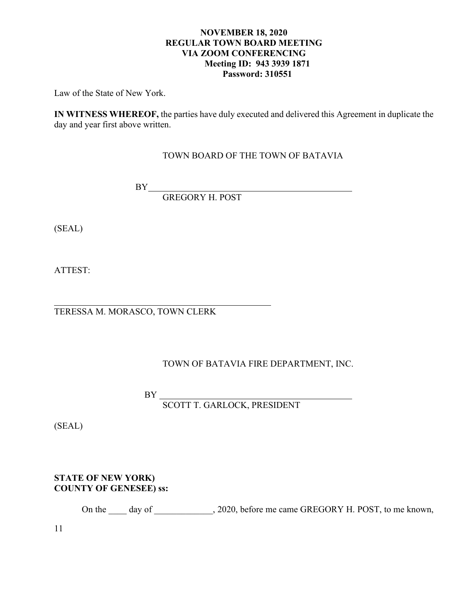Law of the State of New York.

**IN WITNESS WHEREOF,** the parties have duly executed and delivered this Agreement in duplicate the day and year first above written.

# TOWN BOARD OF THE TOWN OF BATAVIA

BY

GREGORY H. POST

(SEAL)

ATTEST:

 $\overline{a}$ 

TERESSA M. MORASCO, TOWN CLERK

# TOWN OF BATAVIA FIRE DEPARTMENT, INC.

BY

SCOTT T. GARLOCK, PRESIDENT

(SEAL)

# **STATE OF NEW YORK) COUNTY OF GENESEE) ss:**

On the \_\_\_\_ day of \_\_\_\_\_\_\_\_\_\_\_, 2020, before me came GREGORY H. POST, to me known,

11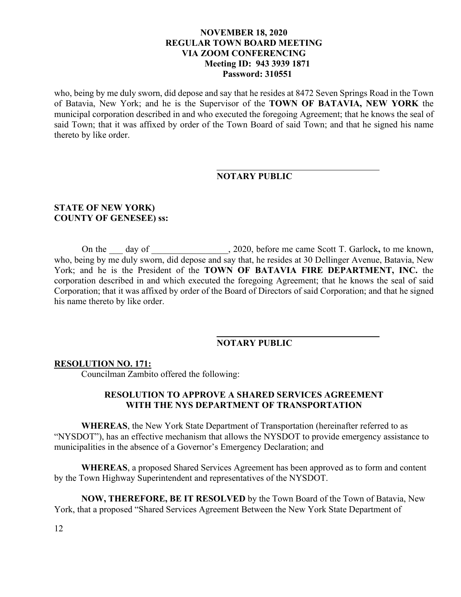who, being by me duly sworn, did depose and say that he resides at 8472 Seven Springs Road in the Town of Batavia, New York; and he is the Supervisor of the **TOWN OF BATAVIA, NEW YORK** the municipal corporation described in and who executed the foregoing Agreement; that he knows the seal of said Town; that it was affixed by order of the Town Board of said Town; and that he signed his name thereto by like order.

# **NOTARY PUBLIC**

### **STATE OF NEW YORK) COUNTY OF GENESEE) ss:**

On the \_\_\_ day of \_\_\_\_\_\_\_\_\_\_\_\_\_\_, 2020, before me came Scott T. Garlock, to me known, who, being by me duly sworn, did depose and say that, he resides at 30 Dellinger Avenue, Batavia, New York; and he is the President of the **TOWN OF BATAVIA FIRE DEPARTMENT, INC.** the corporation described in and which executed the foregoing Agreement; that he knows the seal of said Corporation; that it was affixed by order of the Board of Directors of said Corporation; and that he signed his name thereto by like order.

#### **NOTARY PUBLIC**

#### **RESOLUTION NO. 171:**

Councilman Zambito offered the following:

## **RESOLUTION TO APPROVE A SHARED SERVICES AGREEMENT WITH THE NYS DEPARTMENT OF TRANSPORTATION**

**WHEREAS**, the New York State Department of Transportation (hereinafter referred to as "NYSDOT"), has an effective mechanism that allows the NYSDOT to provide emergency assistance to municipalities in the absence of a Governor's Emergency Declaration; and

**WHEREAS**, a proposed Shared Services Agreement has been approved as to form and content by the Town Highway Superintendent and representatives of the NYSDOT.

**NOW, THEREFORE, BE IT RESOLVED** by the Town Board of the Town of Batavia, New York, that a proposed "Shared Services Agreement Between the New York State Department of

12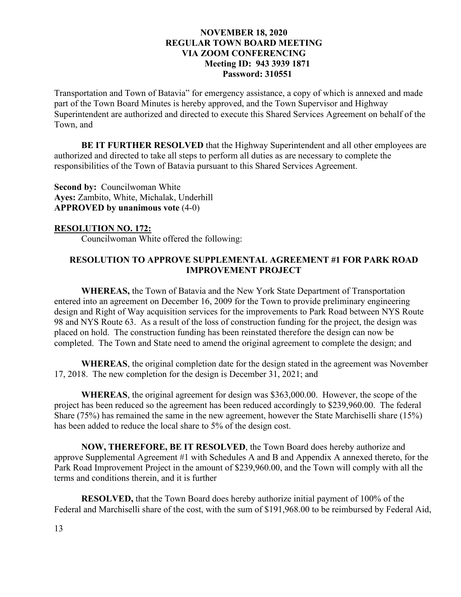Transportation and Town of Batavia" for emergency assistance, a copy of which is annexed and made part of the Town Board Minutes is hereby approved, and the Town Supervisor and Highway Superintendent are authorized and directed to execute this Shared Services Agreement on behalf of the Town, and

**BE IT FURTHER RESOLVED** that the Highway Superintendent and all other employees are authorized and directed to take all steps to perform all duties as are necessary to complete the responsibilities of the Town of Batavia pursuant to this Shared Services Agreement.

**Second by: Councilwoman White Ayes:** Zambito, White, Michalak, Underhill **APPROVED by unanimous vote** (4-0)

## **RESOLUTION NO. 172:**

Councilwoman White offered the following:

# **RESOLUTION TO APPROVE SUPPLEMENTAL AGREEMENT #1 FOR PARK ROAD IMPROVEMENT PROJECT**

**WHEREAS,** the Town of Batavia and the New York State Department of Transportation entered into an agreement on December 16, 2009 for the Town to provide preliminary engineering design and Right of Way acquisition services for the improvements to Park Road between NYS Route 98 and NYS Route 63. As a result of the loss of construction funding for the project, the design was placed on hold. The construction funding has been reinstated therefore the design can now be completed. The Town and State need to amend the original agreement to complete the design; and

**WHEREAS**, the original completion date for the design stated in the agreement was November 17, 2018. The new completion for the design is December 31, 2021; and

**WHEREAS**, the original agreement for design was \$363,000.00. However, the scope of the project has been reduced so the agreement has been reduced accordingly to \$239,960.00. The federal Share (75%) has remained the same in the new agreement, however the State Marchiselli share (15%) has been added to reduce the local share to 5% of the design cost.

**NOW, THEREFORE, BE IT RESOLVED**, the Town Board does hereby authorize and approve Supplemental Agreement #1 with Schedules A and B and Appendix A annexed thereto, for the Park Road Improvement Project in the amount of \$239,960.00, and the Town will comply with all the terms and conditions therein, and it is further

**RESOLVED,** that the Town Board does hereby authorize initial payment of 100% of the Federal and Marchiselli share of the cost, with the sum of \$191,968.00 to be reimbursed by Federal Aid,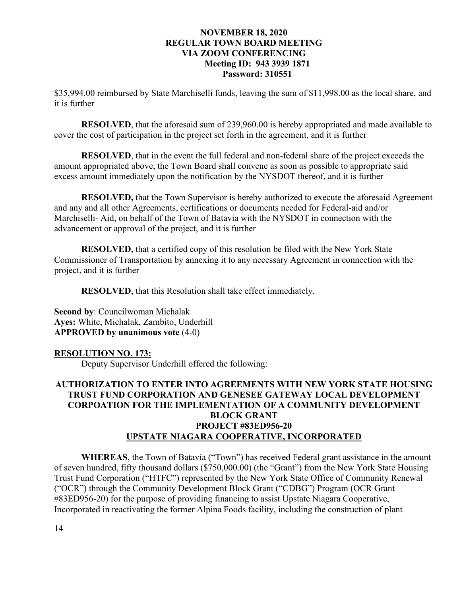\$35,994.00 reimbursed by State Marchiselli funds, leaving the sum of \$11,998.00 as the local share, and it is further

**RESOLVED**, that the aforesaid sum of 239,960.00 is hereby appropriated and made available to cover the cost of participation in the project set forth in the agreement, and it is further

**RESOLVED**, that in the event the full federal and non-federal share of the project exceeds the amount appropriated above, the Town Board shall convene as soon as possible to appropriate said excess amount immediately upon the notification by the NYSDOT thereof, and it is further

**RESOLVED,** that the Town Supervisor is hereby authorized to execute the aforesaid Agreement and any and all other Agreements, certifications or documents needed for Federal-aid and/or Marchiselli- Aid, on behalf of the Town of Batavia with the NYSDOT in connection with the advancement or approval of the project, and it is further

**RESOLVED**, that a certified copy of this resolution be filed with the New York State Commissioner of Transportation by annexing it to any necessary Agreement in connection with the project, and it is further

**RESOLVED**, that this Resolution shall take effect immediately.

**Second by**: Councilwoman Michalak **Ayes:** White, Michalak, Zambito, Underhill **APPROVED by unanimous vote** (4-0)

# **RESOLUTION NO. 173:**

Deputy Supervisor Underhill offered the following:

# **AUTHORIZATION TO ENTER INTO AGREEMENTS WITH NEW YORK STATE HOUSING TRUST FUND CORPORATION AND GENESEE GATEWAY LOCAL DEVELOPMENT CORPOATION FOR THE IMPLEMENTATION OF A COMMUNITY DEVELOPMENT BLOCK GRANT PROJECT #83ED956-20 UPSTATE NIAGARA COOPERATIVE, INCORPORATED**

**WHEREAS**, the Town of Batavia ("Town") has received Federal grant assistance in the amount of seven hundred, fifty thousand dollars (\$750,000.00) (the "Grant") from the New York State Housing Trust Fund Corporation ("HTFC") represented by the New York State Office of Community Renewal ("OCR") through the Community Development Block Grant ("CDBG") Program (OCR Grant #83ED956-20) for the purpose of providing financing to assist Upstate Niagara Cooperative, Incorporated in reactivating the former Alpina Foods facility, including the construction of plant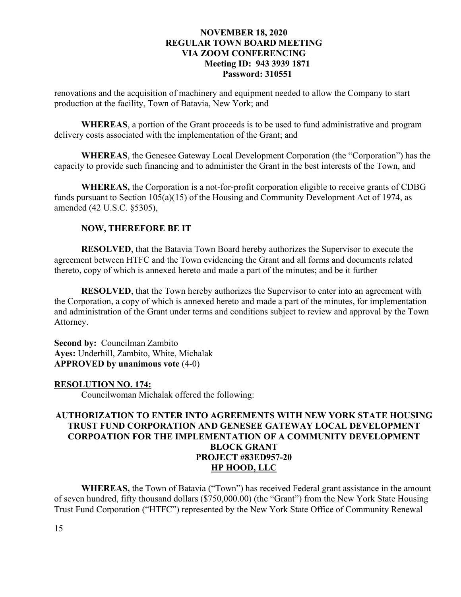renovations and the acquisition of machinery and equipment needed to allow the Company to start production at the facility, Town of Batavia, New York; and

**WHEREAS**, a portion of the Grant proceeds is to be used to fund administrative and program delivery costs associated with the implementation of the Grant; and

**WHEREAS**, the Genesee Gateway Local Development Corporation (the "Corporation") has the capacity to provide such financing and to administer the Grant in the best interests of the Town, and

**WHEREAS,** the Corporation is a not-for-profit corporation eligible to receive grants of CDBG funds pursuant to Section 105(a)(15) of the Housing and Community Development Act of 1974, as amended (42 U.S.C. §5305),

# **NOW, THEREFORE BE IT**

**RESOLVED**, that the Batavia Town Board hereby authorizes the Supervisor to execute the agreement between HTFC and the Town evidencing the Grant and all forms and documents related thereto, copy of which is annexed hereto and made a part of the minutes; and be it further

**RESOLVED**, that the Town hereby authorizes the Supervisor to enter into an agreement with the Corporation, a copy of which is annexed hereto and made a part of the minutes, for implementation and administration of the Grant under terms and conditions subject to review and approval by the Town Attorney.

**Second by:** Councilman Zambito **Ayes:** Underhill, Zambito, White, Michalak **APPROVED by unanimous vote** (4-0)

## **RESOLUTION NO. 174:**

Councilwoman Michalak offered the following:

# **AUTHORIZATION TO ENTER INTO AGREEMENTS WITH NEW YORK STATE HOUSING TRUST FUND CORPORATION AND GENESEE GATEWAY LOCAL DEVELOPMENT CORPOATION FOR THE IMPLEMENTATION OF A COMMUNITY DEVELOPMENT BLOCK GRANT PROJECT #83ED957-20 HP HOOD, LLC**

**WHEREAS,** the Town of Batavia ("Town") has received Federal grant assistance in the amount of seven hundred, fifty thousand dollars (\$750,000.00) (the "Grant") from the New York State Housing Trust Fund Corporation ("HTFC") represented by the New York State Office of Community Renewal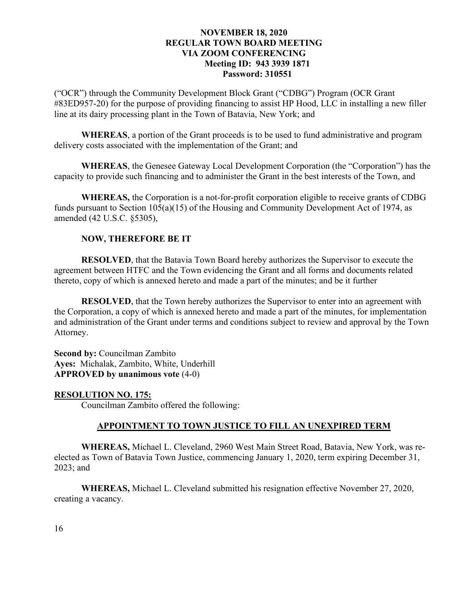("OCR") through the Community Development Block Grant ("CDBG") Program (OCR Grant #83ED957-20) for the purpose of providing financing to assist HP Hood, LLC in installing a new filler line at its dairy processing plant in the Town of Batavia, New York; and

**WHEREAS**, a portion of the Grant proceeds is to be used to fund administrative and program delivery costs associated with the implementation of the Grant; and

**WHEREAS**, the Genesee Gateway Local Development Corporation (the "Corporation") has the capacity to provide such financing and to administer the Grant in the best interests of the Town, and

**WHEREAS,** the Corporation is a not-for-profit corporation eligible to receive grants of CDBG funds pursuant to Section 105(a)(15) of the Housing and Community Development Act of 1974, as amended (42 U.S.C. §5305),

# **NOW, THEREFORE BE IT**

**RESOLVED**, that the Batavia Town Board hereby authorizes the Supervisor to execute the agreement between HTFC and the Town evidencing the Grant and all forms and documents related thereto, copy of which is annexed hereto and made a part of the minutes; and be it further

**RESOLVED**, that the Town hereby authorizes the Supervisor to enter into an agreement with the Corporation, a copy of which is annexed hereto and made a part of the minutes, for implementation and administration of the Grant under terms and conditions subject to review and approval by the Town Attorney.

**Second by:** Councilman Zambito **Ayes:** Michalak, Zambito, White, Underhill **APPROVED by unanimous vote** (4-0)

## **RESOLUTION NO. 175:**

Councilman Zambito offered the following:

# **APPOINTMENT TO TOWN JUSTICE TO FILL AN UNEXPIRED TERM**

**WHEREAS,** Michael L. Cleveland, 2960 West Main Street Road, Batavia, New York, was reelected as Town of Batavia Town Justice, commencing January 1, 2020, term expiring December 31, 2023; and

**WHEREAS,** Michael L. Cleveland submitted his resignation effective November 27, 2020, creating a vacancy.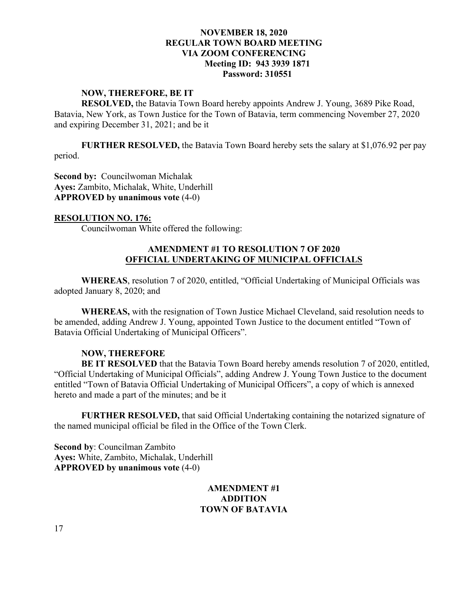#### **NOW, THEREFORE, BE IT**

**RESOLVED,** the Batavia Town Board hereby appoints Andrew J. Young, 3689 Pike Road, Batavia, New York, as Town Justice for the Town of Batavia, term commencing November 27, 2020 and expiring December 31, 2021; and be it

**FURTHER RESOLVED,** the Batavia Town Board hereby sets the salary at \$1,076.92 per pay period.

**Second by:** Councilwoman Michalak **Ayes:** Zambito, Michalak, White, Underhill **APPROVED by unanimous vote** (4-0)

## **RESOLUTION NO. 176:**

Councilwoman White offered the following:

# **AMENDMENT #1 TO RESOLUTION 7 OF 2020 OFFICIAL UNDERTAKING OF MUNICIPAL OFFICIALS**

**WHEREAS**, resolution 7 of 2020, entitled, "Official Undertaking of Municipal Officials was adopted January 8, 2020; and

**WHEREAS,** with the resignation of Town Justice Michael Cleveland, said resolution needs to be amended, adding Andrew J. Young, appointed Town Justice to the document entitled "Town of Batavia Official Undertaking of Municipal Officers".

## **NOW, THEREFORE**

**BE IT RESOLVED** that the Batavia Town Board hereby amends resolution 7 of 2020, entitled, "Official Undertaking of Municipal Officials", adding Andrew J. Young Town Justice to the document entitled "Town of Batavia Official Undertaking of Municipal Officers", a copy of which is annexed hereto and made a part of the minutes; and be it

**FURTHER RESOLVED,** that said Official Undertaking containing the notarized signature of the named municipal official be filed in the Office of the Town Clerk.

**Second by**: Councilman Zambito **Ayes:** White, Zambito, Michalak, Underhill **APPROVED by unanimous vote** (4-0)

# **AMENDMENT #1 ADDITION TOWN OF BATAVIA**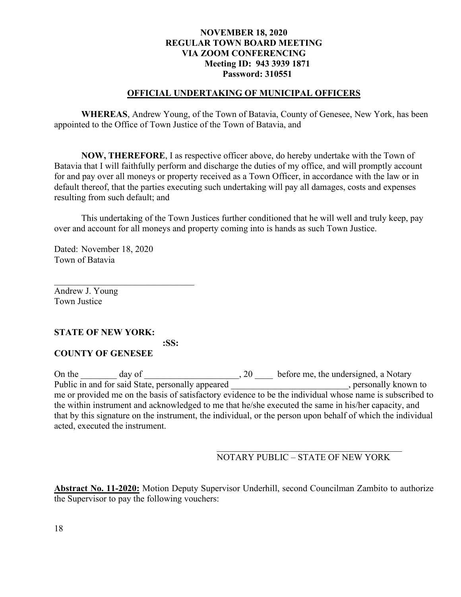### **OFFICIAL UNDERTAKING OF MUNICIPAL OFFICERS**

**WHEREAS**, Andrew Young, of the Town of Batavia, County of Genesee, New York, has been appointed to the Office of Town Justice of the Town of Batavia, and

**NOW, THEREFORE**, I as respective officer above, do hereby undertake with the Town of Batavia that I will faithfully perform and discharge the duties of my office, and will promptly account for and pay over all moneys or property received as a Town Officer, in accordance with the law or in default thereof, that the parties executing such undertaking will pay all damages, costs and expenses resulting from such default; and

 This undertaking of the Town Justices further conditioned that he will well and truly keep, pay over and account for all moneys and property coming into is hands as such Town Justice.

Dated: November 18, 2020 Town of Batavia

 $\mathcal{L}_\text{max}$  , and the set of the set of the set of the set of the set of the set of the set of the set of the set of the set of the set of the set of the set of the set of the set of the set of the set of the set of the

Andrew J. Young Town Justice

## **STATE OF NEW YORK:**

 **:SS:**

# **COUNTY OF GENESEE**

On the \_\_\_\_\_\_\_ day of \_\_\_\_\_\_\_\_\_\_\_\_\_\_\_\_\_\_\_\_\_, 20 \_\_\_\_\_ before me, the undersigned, a Notary Public in and for said State, personally appeared \_\_\_\_\_\_\_\_\_\_\_\_\_\_\_\_\_\_\_\_\_\_\_\_, personally known to me or provided me on the basis of satisfactory evidence to be the individual whose name is subscribed to the within instrument and acknowledged to me that he/she executed the same in his/her capacity, and that by this signature on the instrument, the individual, or the person upon behalf of which the individual acted, executed the instrument.

## NOTARY PUBLIC – STATE OF NEW YORK

**Abstract No. 11-2020:** Motion Deputy Supervisor Underhill, second Councilman Zambito to authorize the Supervisor to pay the following vouchers: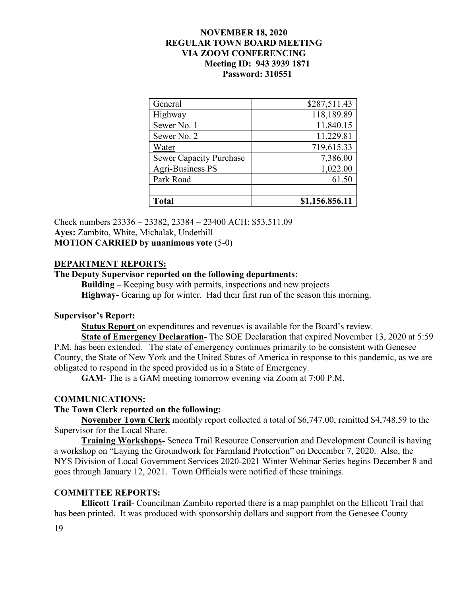| <b>Total</b>                   | \$1,156.856.11 |
|--------------------------------|----------------|
|                                |                |
| Park Road                      | 61.50          |
| <b>Agri-Business PS</b>        | 1,022.00       |
| <b>Sewer Capacity Purchase</b> | 7,386.00       |
| Water                          | 719,615.33     |
| Sewer No. 2                    | 11,229.81      |
| Sewer No. 1                    | 11,840.15      |
| Highway                        | 118,189.89     |
| General                        | \$287,511.43   |

Check numbers 23336 – 23382, 23384 – 23400 ACH: \$53,511.09 **Ayes:** Zambito, White, Michalak, Underhill **MOTION CARRIED by unanimous vote** (5-0)

### **DEPARTMENT REPORTS:**

## **The Deputy Supervisor reported on the following departments:**

**Building –** Keeping busy with permits, inspections and new projects **Highway-** Gearing up for winter. Had their first run of the season this morning.

### **Supervisor's Report:**

**Status Report** on expenditures and revenues is available for the Board's review.

**State of Emergency Declaration-** The SOE Declaration that expired November 13, 2020 at 5:59 P.M. has been extended. The state of emergency continues primarily to be consistent with Genesee County, the State of New York and the United States of America in response to this pandemic, as we are obligated to respond in the speed provided us in a State of Emergency.

**GAM-** The is a GAM meeting tomorrow evening via Zoom at 7:00 P.M.

#### **COMMUNICATIONS:**

#### **The Town Clerk reported on the following:**

**November Town Clerk** monthly report collected a total of \$6,747.00, remitted \$4,748.59 to the Supervisor for the Local Share.

**Training Workshops-** Seneca Trail Resource Conservation and Development Council is having a workshop on "Laying the Groundwork for Farmland Protection" on December 7, 2020. Also, the NYS Division of Local Government Services 2020-2021 Winter Webinar Series begins December 8 and goes through January 12, 2021. Town Officials were notified of these trainings.

## **COMMITTEE REPORTS:**

**Ellicott Trail**- Councilman Zambito reported there is a map pamphlet on the Ellicott Trail that has been printed. It was produced with sponsorship dollars and support from the Genesee County